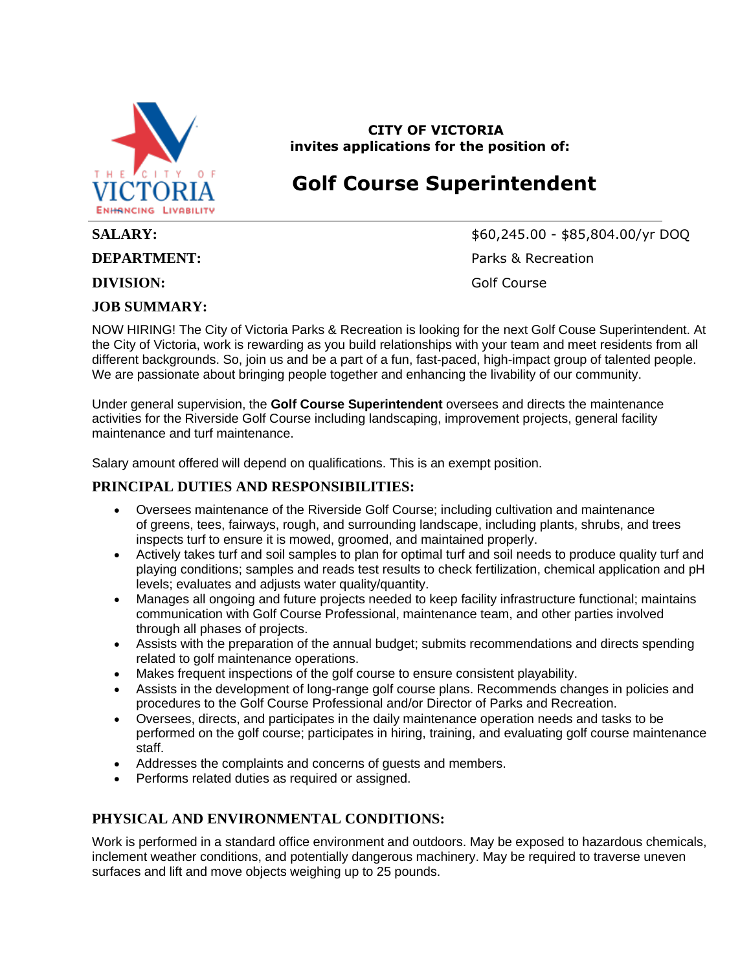

**CITY OF VICTORIA invites applications for the position of:**

## **Golf Course Superintendent**

**DIVISION:** Golf Course

#### **JOB SUMMARY:**

**SALARY:** \$60,245.00 - \$85,804.00/yr DOQ **DEPARTMENT:** Parks & Recreation

NOW HIRING! The City of Victoria Parks & Recreation is looking for the next Golf Couse Superintendent. At the City of Victoria, work is rewarding as you build relationships with your team and meet residents from all different backgrounds. So, join us and be a part of a fun, fast-paced, high-impact group of talented people. We are passionate about bringing people together and enhancing the livability of our community.

Under general supervision, the **Golf Course Superintendent** oversees and directs the maintenance activities for the Riverside Golf Course including landscaping, improvement projects, general facility maintenance and turf maintenance.

Salary amount offered will depend on qualifications. This is an exempt position.

### **PRINCIPAL DUTIES AND RESPONSIBILITIES:**

- Oversees maintenance of the Riverside Golf Course; including cultivation and maintenance of greens, tees, fairways, rough, and surrounding landscape, including plants, shrubs, and trees inspects turf to ensure it is mowed, groomed, and maintained properly.
- Actively takes turf and soil samples to plan for optimal turf and soil needs to produce quality turf and playing conditions; samples and reads test results to check fertilization, chemical application and pH levels; evaluates and adjusts water quality/quantity.
- Manages all ongoing and future projects needed to keep facility infrastructure functional; maintains communication with Golf Course Professional, maintenance team, and other parties involved through all phases of projects.
- Assists with the preparation of the annual budget; submits recommendations and directs spending related to golf maintenance operations.
- Makes frequent inspections of the golf course to ensure consistent playability.
- Assists in the development of long-range golf course plans. Recommends changes in policies and procedures to the Golf Course Professional and/or Director of Parks and Recreation.
- Oversees, directs, and participates in the daily maintenance operation needs and tasks to be performed on the golf course; participates in hiring, training, and evaluating golf course maintenance staff.
- Addresses the complaints and concerns of guests and members.
- Performs related duties as required or assigned.

#### **PHYSICAL AND ENVIRONMENTAL CONDITIONS:**

Work is performed in a standard office environment and outdoors. May be exposed to hazardous chemicals, inclement weather conditions, and potentially dangerous machinery. May be required to traverse uneven surfaces and lift and move objects weighing up to 25 pounds.